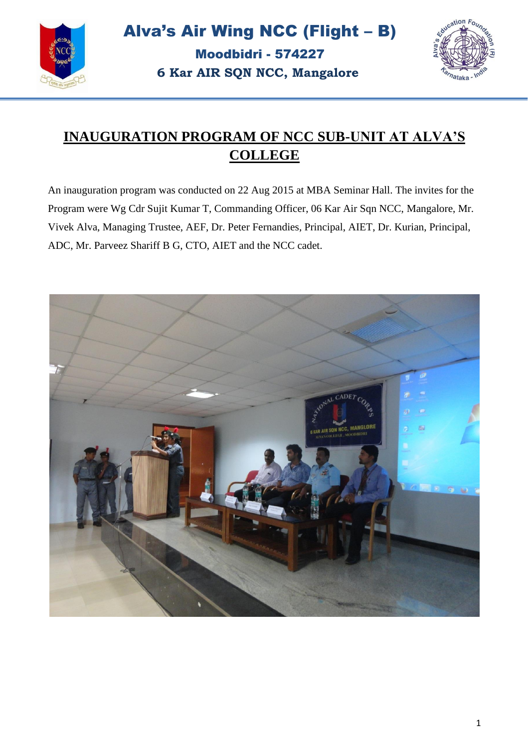

Alva's Air Wing NCC (Flight – B) Moodbidri - 574227 **6 Kar AIR SQN NCC, Mangalore**



### **INAUGURATION PROGRAM OF NCC SUB-UNIT AT ALVA'S COLLEGE**

An inauguration program was conducted on 22 Aug 2015 at MBA Seminar Hall. The invites for the Program were Wg Cdr Sujit Kumar T, Commanding Officer, 06 Kar Air Sqn NCC, Mangalore, Mr. Vivek Alva, Managing Trustee, AEF, Dr. Peter Fernandies, Principal, AIET, Dr. Kurian, Principal, ADC, Mr. Parveez Shariff B G, CTO, AIET and the NCC cadet.

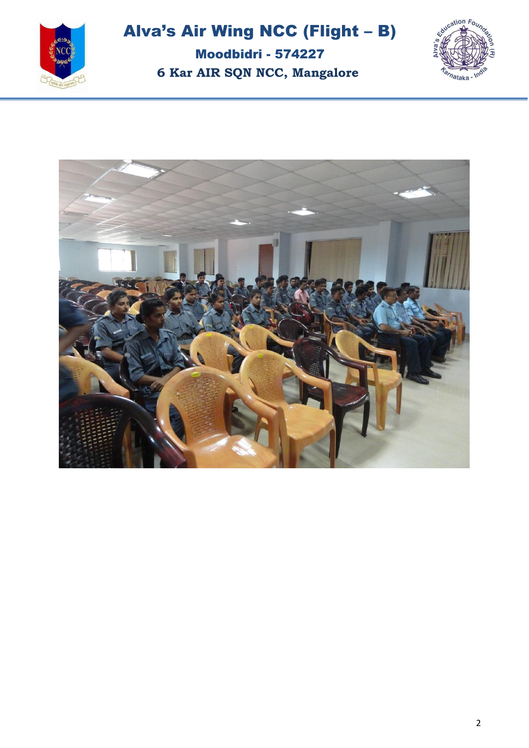

Moodbidri - 574227 6 Kar AIR SQN NCC, Mangalore



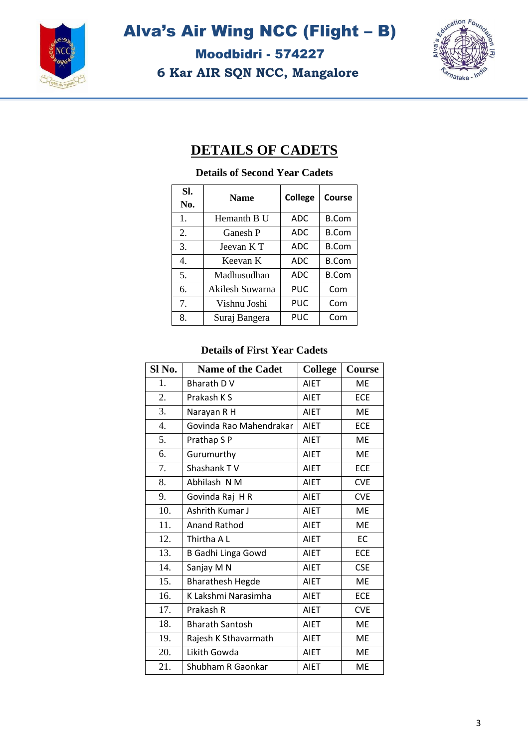

### Moodbidri - 574227 **6 Kar AIR SQN NCC, Mangalore**



#### **DETAILS OF CADETS**

#### **Details of Second Year Cadets**

| SI.<br>No. | <b>Name</b>     | <b>College</b> | Course       |
|------------|-----------------|----------------|--------------|
| 1.         | Hemanth B U     | <b>ADC</b>     | <b>B.Com</b> |
| 2.         | Ganesh P        | <b>ADC</b>     | <b>B.Com</b> |
| 3.         | Jeevan K T      | <b>ADC</b>     | <b>B.Com</b> |
| 4.         | Keevan K        | ADC            | <b>B.Com</b> |
| 5.         | Madhusudhan     | <b>ADC</b>     | <b>B.Com</b> |
| 6.         | Akilesh Suwarna | <b>PUC</b>     | Com          |
| 7.         | Vishnu Joshi    | <b>PUC</b>     | Com          |
| 8.         | Suraj Bangera   | PUC            | Com          |

#### **Details of First Year Cadets**

| Sl No. | <b>Name of the Cadet</b>  | <b>College</b> | Course     |
|--------|---------------------------|----------------|------------|
| 1.     | Bharath D V               | <b>AIET</b>    | <b>ME</b>  |
| 2.     | Prakash K S               | <b>AIET</b>    | <b>ECE</b> |
| 3.     | Narayan R H               | <b>AIET</b>    | <b>ME</b>  |
| 4.     | Govinda Rao Mahendrakar   | <b>AIET</b>    | <b>ECE</b> |
| 5.     | Prathap SP                | <b>AIET</b>    | <b>ME</b>  |
| 6.     | Gurumurthy                | <b>AIET</b>    | <b>ME</b>  |
| 7.     | Shashank TV               | <b>AIET</b>    | ECE        |
| 8.     | Abhilash N M              | <b>AIET</b>    | <b>CVE</b> |
| 9.     | Govinda Raj HR            | <b>AIET</b>    | <b>CVE</b> |
| 10.    | Ashrith Kumar J           | <b>AIET</b>    | <b>ME</b>  |
| 11.    | Anand Rathod              | <b>AIET</b>    | <b>ME</b>  |
| 12.    | Thirtha A L               | <b>AIET</b>    | <b>EC</b>  |
| 13.    | <b>B Gadhi Linga Gowd</b> | <b>AIET</b>    | <b>ECE</b> |
| 14.    | Sanjay M N                | <b>AIET</b>    | <b>CSE</b> |
| 15.    | <b>Bharathesh Hegde</b>   | <b>AIET</b>    | <b>ME</b>  |
| 16.    | K Lakshmi Narasimha       | <b>AIET</b>    | <b>ECE</b> |
| 17.    | Prakash R                 | <b>AIET</b>    | <b>CVE</b> |
| 18.    | <b>Bharath Santosh</b>    | <b>AIET</b>    | <b>ME</b>  |
| 19.    | Rajesh K Sthavarmath      | <b>AIET</b>    | ME         |
| 20.    | Likith Gowda              | <b>AIET</b>    | <b>ME</b>  |
| 21.    | Shubham R Gaonkar         | <b>AIET</b>    | <b>ME</b>  |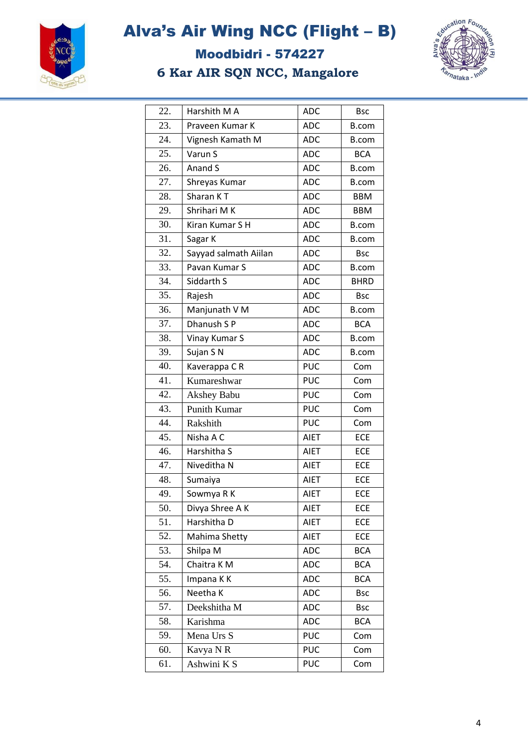

# Moodbidri - 574227



#### **6 Kar AIR SQN NCC, Mangalore**

| 22. | Harshith M A          | <b>ADC</b>  | <b>Bsc</b>  |
|-----|-----------------------|-------------|-------------|
| 23. | Praveen Kumar K       | <b>ADC</b>  | B.com       |
| 24. | Vignesh Kamath M      | <b>ADC</b>  | B.com       |
| 25. | Varun S               | <b>ADC</b>  | <b>BCA</b>  |
| 26. | Anand S               | <b>ADC</b>  | B.com       |
| 27. | Shreyas Kumar         | <b>ADC</b>  | B.com       |
| 28. | Sharan KT             | <b>ADC</b>  | <b>BBM</b>  |
| 29. | Shrihari M K          | <b>ADC</b>  | <b>BBM</b>  |
| 30. | Kiran Kumar S H       | <b>ADC</b>  | B.com       |
| 31. | Sagar K               | <b>ADC</b>  | B.com       |
| 32. | Sayyad salmath Aiilan | <b>ADC</b>  | <b>Bsc</b>  |
| 33. | Pavan Kumar S         | <b>ADC</b>  | B.com       |
| 34. | Siddarth S            | <b>ADC</b>  | <b>BHRD</b> |
| 35. | Rajesh                | <b>ADC</b>  | <b>Bsc</b>  |
| 36. | Manjunath V M         | <b>ADC</b>  | B.com       |
| 37. | Dhanush S P           | <b>ADC</b>  | <b>BCA</b>  |
| 38. | Vinay Kumar S         | <b>ADC</b>  | B.com       |
| 39. | Sujan S N             | <b>ADC</b>  | B.com       |
| 40. | Kaverappa CR          | <b>PUC</b>  | Com         |
| 41. | Kumareshwar           | <b>PUC</b>  | Com         |
| 42. | Akshey Babu           | <b>PUC</b>  | Com         |
| 43. | Punith Kumar          | <b>PUC</b>  | Com         |
| 44. | Rakshith              | <b>PUC</b>  | Com         |
| 45. | Nisha A C             | <b>AIET</b> | ECE         |
| 46. | Harshitha S           | <b>AIET</b> | <b>ECE</b>  |
| 47. | Niveditha N           | <b>AIET</b> | ECE         |
| 48. | Sumaiya               | <b>AIET</b> | ECE         |
| 49. | Sowmya R K            | <b>AIET</b> | <b>ECE</b>  |
| 50. | Divya Shree A K       | <b>AIET</b> | <b>ECE</b>  |
| 51. | Harshitha D           | <b>AIET</b> | <b>ECE</b>  |
| 52. | Mahima Shetty         | <b>AIET</b> | <b>ECE</b>  |
| 53. | Shilpa M              | <b>ADC</b>  | <b>BCA</b>  |
| 54. | Chaitra K M           | <b>ADC</b>  | <b>BCA</b>  |
| 55. | Impana K K            | <b>ADC</b>  | <b>BCA</b>  |
| 56. | Neetha K              | <b>ADC</b>  | <b>Bsc</b>  |
| 57. | Deekshitha M          | <b>ADC</b>  | <b>Bsc</b>  |
| 58. | Karishma              | <b>ADC</b>  | <b>BCA</b>  |
| 59. | Mena Urs S            | <b>PUC</b>  | Com         |
| 60. | Kavya NR              | <b>PUC</b>  | Com         |
| 61. | Ashwini KS            | <b>PUC</b>  | Com         |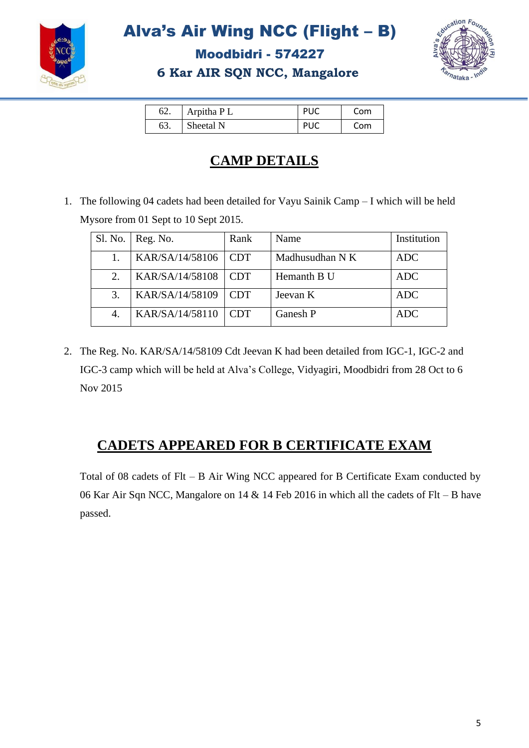

Moodbidri - 574227



**6 Kar AIR SQN NCC, Mangalore**

| 62. | Arpitha P L | <b>PUC</b> | Com |
|-----|-------------|------------|-----|
| 63. | Sheetal N   | <b>PUC</b> | Com |

#### **CAMP DETAILS**

1. The following 04 cadets had been detailed for Vayu Sainik Camp – I which will be held Mysore from 01 Sept to 10 Sept 2015.

|    | $SI. No.$ Reg. No. | Rank       | Name            | Institution |
|----|--------------------|------------|-----------------|-------------|
|    | KAR/SA/14/58106    | <b>CDT</b> | Madhusudhan N K | <b>ADC</b>  |
| 2. | KAR/SA/14/58108    | <b>CDT</b> | Hemanth B U     | <b>ADC</b>  |
| 3. | KAR/SA/14/58109    | <b>CDT</b> | Jeevan K        | ADC         |
|    | KAR/SA/14/58110    | <b>CDT</b> | Ganesh P        | <b>ADC</b>  |

2. The Reg. No. KAR/SA/14/58109 Cdt Jeevan K had been detailed from IGC-1, IGC-2 and IGC-3 camp which will be held at Alva's College, Vidyagiri, Moodbidri from 28 Oct to 6 Nov 2015

#### **CADETS APPEARED FOR B CERTIFICATE EXAM**

Total of 08 cadets of Flt – B Air Wing NCC appeared for B Certificate Exam conducted by 06 Kar Air Sqn NCC, Mangalore on 14 & 14 Feb 2016 in which all the cadets of Flt – B have passed.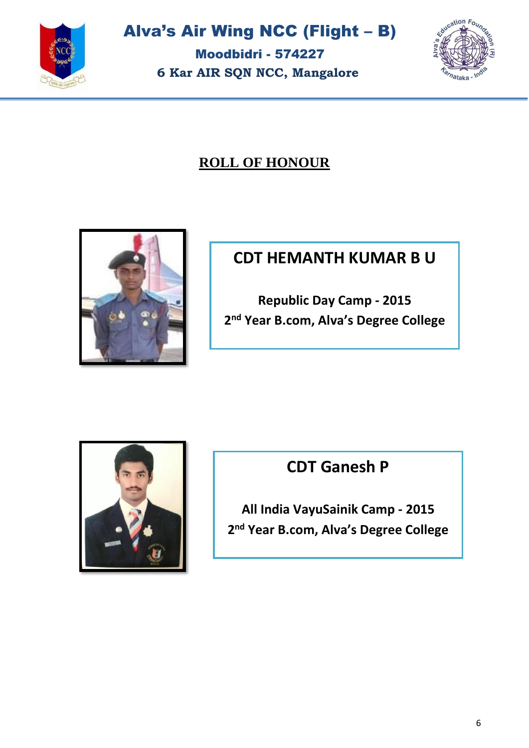

Moodbidri - 574227 **6 Kar AIR SQN NCC, Mangalore**



### **ROLL OF HONOUR**



### **CDT HEMANTH KUMAR B U**

**Republic Day Camp - 2015 2 nd Year B.com, Alva's Degree College**



### **CDT Ganesh P**

**All India VayuSainik Camp - 2015 2 nd Year B.com, Alva's Degree College**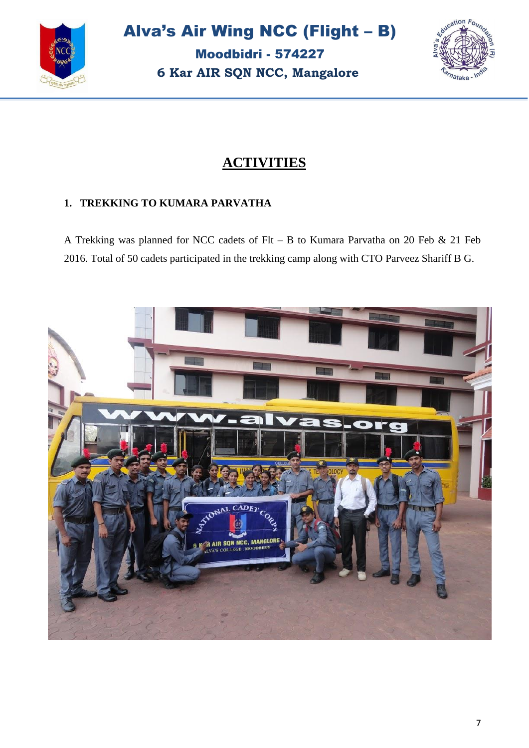

Moodbidri - 574227 **6 Kar AIR SQN NCC, Mangalore**



### **ACTIVITIES**

#### **1. TREKKING TO KUMARA PARVATHA**

A Trekking was planned for NCC cadets of Flt – B to Kumara Parvatha on 20 Feb & 21 Feb 2016. Total of 50 cadets participated in the trekking camp along with CTO Parveez Shariff B G.